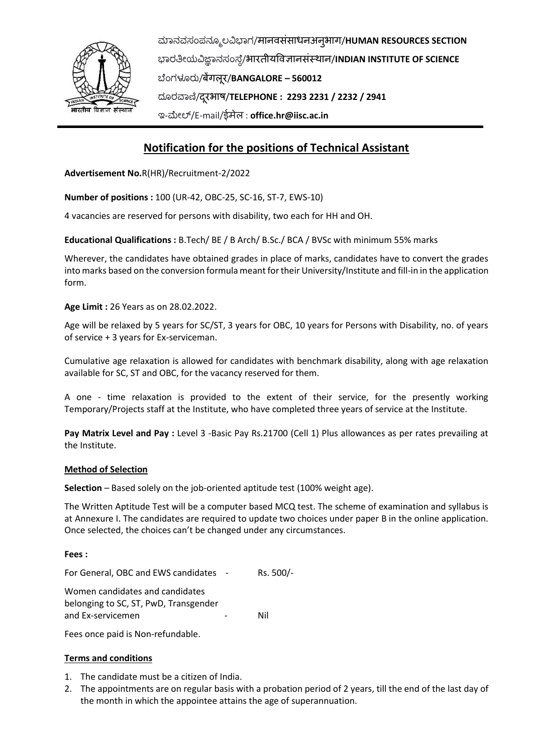

ಮಾನವಸಂಪನಮೂಲವಿಭಾಗ/मानवसंसाधनअनुभाग/**HUMAN RESOURCES SECTION** ಭಾರತೀಯವಿಜ್ಞಾನಸಂಸ್ಥೆ/भारतीयववज्ञानसंस्थान/**INDIAN INSTITUTE OF SCIENCE** ಬಥಂಗಳೂರು/बेंगलूर/**BANGALORE – 560012** ದಮರವಾಣಿ/दरूभाष/**TELEPHONE : 2293 2231 / 2232 / 2941** ಇ-ಮೀಲ್/E-mail/ईमेल : **[office.hr@iisc.ac.in](mailto:office.hr@iisc.ac.in)**

# **Notification for the positions of Technical Assistant**

**Advertisement No.**R(HR)/Recruitment-2/2022

**Number of positions :** 100 (UR-42, OBC-25, SC-16, ST-7, EWS-10)

4 vacancies are reserved for persons with disability, two each for HH and OH.

**Educational Qualifications :** B.Tech/ BE / B Arch/ B.Sc./ BCA / BVSc with minimum 55% marks

Wherever, the candidates have obtained grades in place of marks, candidates have to convert the grades into marks based on the conversion formula meant for their University/Institute and fill-in in the application form.

## **Age Limit :** 26 Years as on 28.02.2022.

Age will be relaxed by 5 years for SC/ST, 3 years for OBC, 10 years for Persons with Disability, no. of years of service + 3 years for Ex-serviceman.

Cumulative age relaxation is allowed for candidates with benchmark disability, along with age relaxation available for SC, ST and OBC, for the vacancy reserved for them.

A one - time relaxation is provided to the extent of their service, for the presently working Temporary/Projects staff at the Institute, who have completed three years of service at the Institute.

**Pay Matrix Level and Pay :** Level 3 -Basic Pay Rs.21700 (Cell 1) Plus allowances as per rates prevailing at the Institute.

### **Method of Selection**

**Selection** – Based solely on the job-oriented aptitude test (100% weight age).

The Written Aptitude Test will be a computer based MCQ test. The scheme of examination and syllabus is at Annexure I. The candidates are required to update two choices under paper B in the online application. Once selected, the choices can't be changed under any circumstances.

### **Fees :**

For General, OBC and EWS candidates - Rs. 500/-

Women candidates and candidates belonging to SC, ST, PwD, Transgender and Ex-servicemen and Ex-servicemen

Fees once paid is Non-refundable.

### **Terms and conditions**

- 1. The candidate must be a citizen of India.
- 2. The appointments are on regular basis with a probation period of 2 years, till the end of the last day of the month in which the appointee attains the age of superannuation.